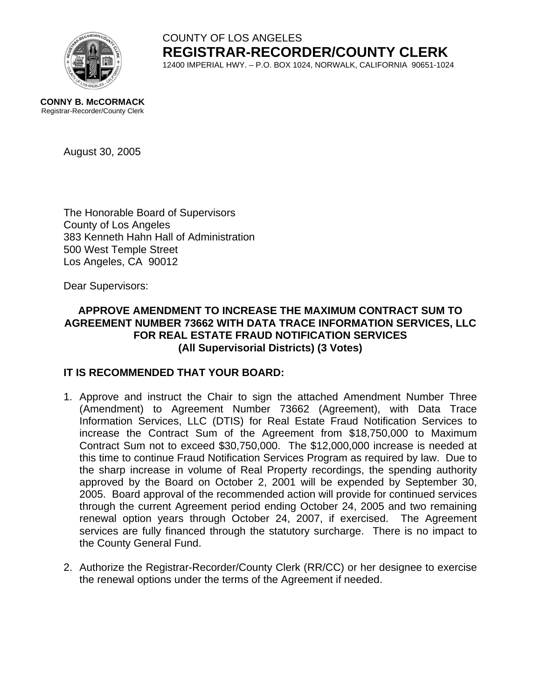

### COUNTY OF LOS ANGELES **REGISTRAR-RECORDER/COUNTY CLERK** 12400 IMPERIAL HWY. – P.O. BOX 1024, NORWALK, CALIFORNIA 90651-1024

#### **CONNY B. McCORMACK** Registrar-Recorder/County Clerk

August 30, 2005

The Honorable Board of Supervisors County of Los Angeles 383 Kenneth Hahn Hall of Administration 500 West Temple Street Los Angeles, CA 90012

Dear Supervisors:

### **APPROVE AMENDMENT TO INCREASE THE MAXIMUM CONTRACT SUM TO AGREEMENT NUMBER 73662 WITH DATA TRACE INFORMATION SERVICES, LLC FOR REAL ESTATE FRAUD NOTIFICATION SERVICES (All Supervisorial Districts) (3 Votes)**

#### **IT IS RECOMMENDED THAT YOUR BOARD:**

- 1. Approve and instruct the Chair to sign the attached Amendment Number Three (Amendment) to Agreement Number 73662 (Agreement), with Data Trace Information Services, LLC (DTIS) for Real Estate Fraud Notification Services to increase the Contract Sum of the Agreement from \$18,750,000 to Maximum Contract Sum not to exceed \$30,750,000. The \$12,000,000 increase is needed at this time to continue Fraud Notification Services Program as required by law. Due to the sharp increase in volume of Real Property recordings, the spending authority approved by the Board on October 2, 2001 will be expended by September 30, 2005. Board approval of the recommended action will provide for continued services through the current Agreement period ending October 24, 2005 and two remaining renewal option years through October 24, 2007, if exercised. The Agreement services are fully financed through the statutory surcharge. There is no impact to the County General Fund.
- 2. Authorize the Registrar-Recorder/County Clerk (RR/CC) or her designee to exercise the renewal options under the terms of the Agreement if needed.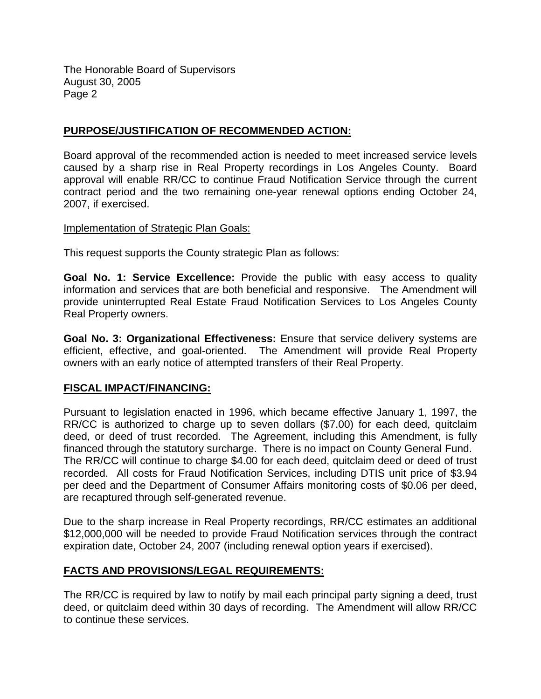The Honorable Board of Supervisors August 30, 2005 Page 2

#### **PURPOSE/JUSTIFICATION OF RECOMMENDED ACTION:**

Board approval of the recommended action is needed to meet increased service levels caused by a sharp rise in Real Property recordings in Los Angeles County. Board approval will enable RR/CC to continue Fraud Notification Service through the current contract period and the two remaining one-year renewal options ending October 24, 2007, if exercised.

#### Implementation of Strategic Plan Goals:

This request supports the County strategic Plan as follows:

**Goal No. 1: Service Excellence:** Provide the public with easy access to quality information and services that are both beneficial and responsive. The Amendment will provide uninterrupted Real Estate Fraud Notification Services to Los Angeles County Real Property owners.

**Goal No. 3: Organizational Effectiveness:** Ensure that service delivery systems are efficient, effective, and goal-oriented. The Amendment will provide Real Property owners with an early notice of attempted transfers of their Real Property.

#### **FISCAL IMPACT/FINANCING:**

Pursuant to legislation enacted in 1996, which became effective January 1, 1997, the RR/CC is authorized to charge up to seven dollars (\$7.00) for each deed, quitclaim deed, or deed of trust recorded. The Agreement, including this Amendment, is fully financed through the statutory surcharge. There is no impact on County General Fund. The RR/CC will continue to charge \$4.00 for each deed, quitclaim deed or deed of trust recorded. All costs for Fraud Notification Services, including DTIS unit price of \$3.94 per deed and the Department of Consumer Affairs monitoring costs of \$0.06 per deed, are recaptured through self-generated revenue.

Due to the sharp increase in Real Property recordings, RR/CC estimates an additional \$12,000,000 will be needed to provide Fraud Notification services through the contract expiration date, October 24, 2007 (including renewal option years if exercised).

#### **FACTS AND PROVISIONS/LEGAL REQUIREMENTS:**

The RR/CC is required by law to notify by mail each principal party signing a deed, trust deed, or quitclaim deed within 30 days of recording. The Amendment will allow RR/CC to continue these services.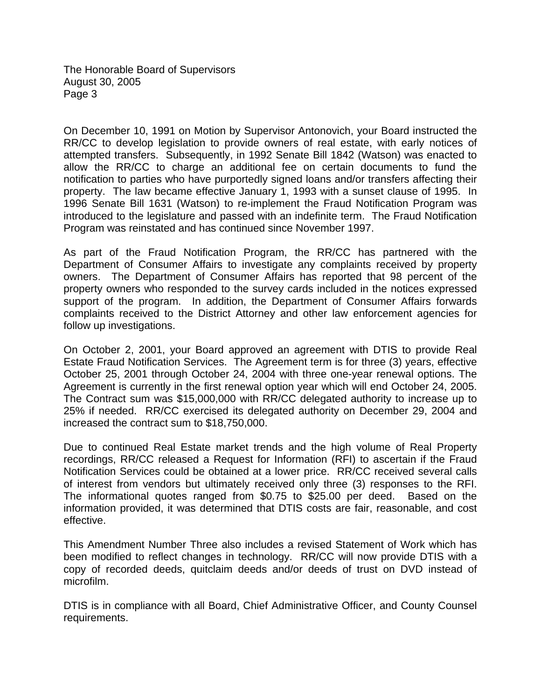The Honorable Board of Supervisors August 30, 2005 Page 3

On December 10, 1991 on Motion by Supervisor Antonovich, your Board instructed the RR/CC to develop legislation to provide owners of real estate, with early notices of attempted transfers. Subsequently, in 1992 Senate Bill 1842 (Watson) was enacted to allow the RR/CC to charge an additional fee on certain documents to fund the notification to parties who have purportedly signed loans and/or transfers affecting their property. The law became effective January 1, 1993 with a sunset clause of 1995. In 1996 Senate Bill 1631 (Watson) to re-implement the Fraud Notification Program was introduced to the legislature and passed with an indefinite term. The Fraud Notification Program was reinstated and has continued since November 1997.

As part of the Fraud Notification Program, the RR/CC has partnered with the Department of Consumer Affairs to investigate any complaints received by property owners. The Department of Consumer Affairs has reported that 98 percent of the property owners who responded to the survey cards included in the notices expressed support of the program. In addition, the Department of Consumer Affairs forwards complaints received to the District Attorney and other law enforcement agencies for follow up investigations.

On October 2, 2001, your Board approved an agreement with DTIS to provide Real Estate Fraud Notification Services. The Agreement term is for three (3) years, effective October 25, 2001 through October 24, 2004 with three one-year renewal options. The Agreement is currently in the first renewal option year which will end October 24, 2005. The Contract sum was \$15,000,000 with RR/CC delegated authority to increase up to 25% if needed. RR/CC exercised its delegated authority on December 29, 2004 and increased the contract sum to \$18,750,000.

Due to continued Real Estate market trends and the high volume of Real Property recordings, RR/CC released a Request for Information (RFI) to ascertain if the Fraud Notification Services could be obtained at a lower price. RR/CC received several calls of interest from vendors but ultimately received only three (3) responses to the RFI. The informational quotes ranged from \$0.75 to \$25.00 per deed. Based on the information provided, it was determined that DTIS costs are fair, reasonable, and cost effective.

This Amendment Number Three also includes a revised Statement of Work which has been modified to reflect changes in technology. RR/CC will now provide DTIS with a copy of recorded deeds, quitclaim deeds and/or deeds of trust on DVD instead of microfilm.

DTIS is in compliance with all Board, Chief Administrative Officer, and County Counsel requirements.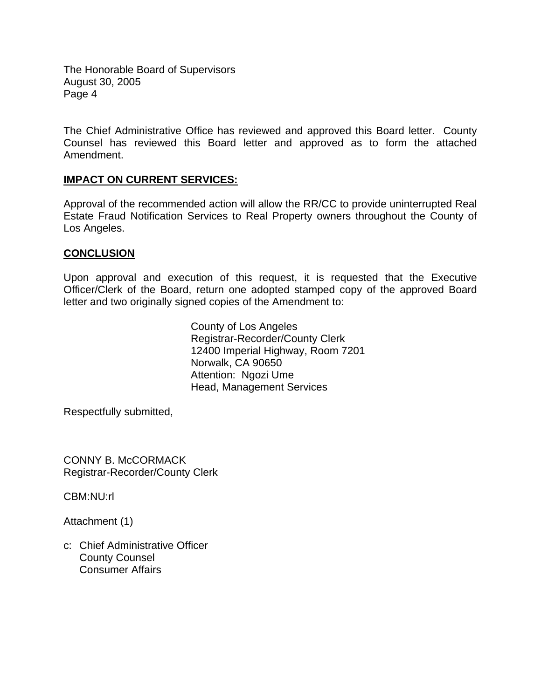The Honorable Board of Supervisors August 30, 2005 Page 4

The Chief Administrative Office has reviewed and approved this Board letter. County Counsel has reviewed this Board letter and approved as to form the attached Amendment.

#### **IMPACT ON CURRENT SERVICES:**

Approval of the recommended action will allow the RR/CC to provide uninterrupted Real Estate Fraud Notification Services to Real Property owners throughout the County of Los Angeles.

#### **CONCLUSION**

Upon approval and execution of this request, it is requested that the Executive Officer/Clerk of the Board, return one adopted stamped copy of the approved Board letter and two originally signed copies of the Amendment to:

> County of Los Angeles Registrar-Recorder/County Clerk 12400 Imperial Highway, Room 7201 Norwalk, CA 90650 Attention: Ngozi Ume Head, Management Services

Respectfully submitted,

CONNY B. McCORMACK Registrar-Recorder/County Clerk

CBM:NU:rl

Attachment (1)

c: Chief Administrative Officer County Counsel Consumer Affairs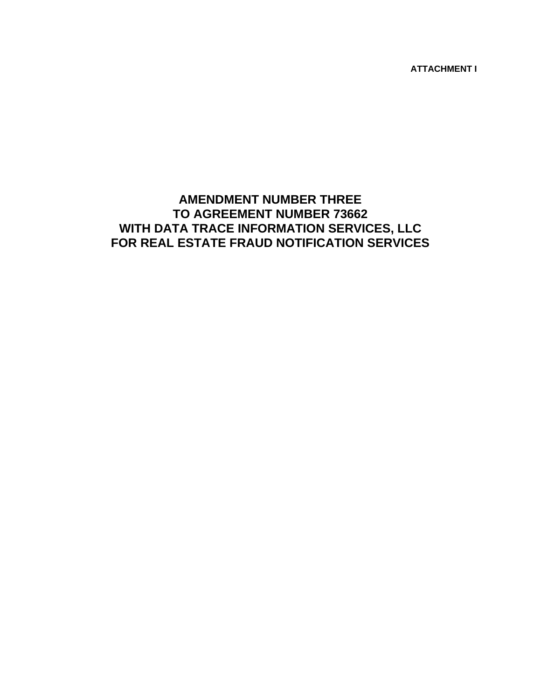**ATTACHMENT I** 

### **AMENDMENT NUMBER THREE TO AGREEMENT NUMBER 73662 WITH DATA TRACE INFORMATION SERVICES, LLC FOR REAL ESTATE FRAUD NOTIFICATION SERVICES**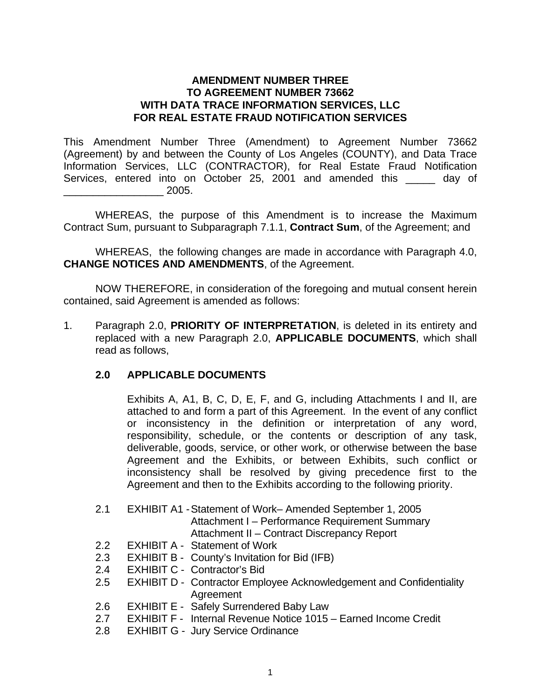#### **AMENDMENT NUMBER THREE TO AGREEMENT NUMBER 73662 WITH DATA TRACE INFORMATION SERVICES, LLC FOR REAL ESTATE FRAUD NOTIFICATION SERVICES**

This Amendment Number Three (Amendment) to Agreement Number 73662 (Agreement) by and between the County of Los Angeles (COUNTY), and Data Trace Information Services, LLC (CONTRACTOR), for Real Estate Fraud Notification Services, entered into on October 25, 2001 and amended this \_\_\_\_\_ day of \_\_\_\_\_\_\_\_\_\_\_\_\_\_\_\_\_ 2005.

WHEREAS, the purpose of this Amendment is to increase the Maximum Contract Sum, pursuant to Subparagraph 7.1.1, **Contract Sum**, of the Agreement; and

 WHEREAS, the following changes are made in accordance with Paragraph 4.0, **CHANGE NOTICES AND AMENDMENTS**, of the Agreement.

 NOW THEREFORE, in consideration of the foregoing and mutual consent herein contained, said Agreement is amended as follows:

1. Paragraph 2.0, **PRIORITY OF INTERPRETATION**, is deleted in its entirety and replaced with a new Paragraph 2.0, **APPLICABLE DOCUMENTS**, which shall read as follows,

#### **2.0 APPLICABLE DOCUMENTS**

Exhibits A, A1, B, C, D, E, F, and G, including Attachments I and II, are attached to and form a part of this Agreement. In the event of any conflict or inconsistency in the definition or interpretation of any word, responsibility, schedule, or the contents or description of any task, deliverable, goods, service, or other work, or otherwise between the base Agreement and the Exhibits, or between Exhibits, such conflict or inconsistency shall be resolved by giving precedence first to the Agreement and then to the Exhibits according to the following priority.

2.1 EXHIBIT A1 - Statement of Work– Amended September 1, 2005 Attachment I – Performance Requirement Summary

Attachment II – Contract Discrepancy Report

- 2.2 EXHIBIT A Statement of Work
- 2.3 EXHIBIT B County's Invitation for Bid (IFB)
- 2.4 EXHIBIT C Contractor's Bid
- 2.5 EXHIBIT D Contractor Employee Acknowledgement and Confidentiality Agreement
- 2.6 EXHIBIT E Safely Surrendered Baby Law
- 2.7 EXHIBIT F Internal Revenue Notice 1015 Earned Income Credit
- 2.8 EXHIBIT G Jury Service Ordinance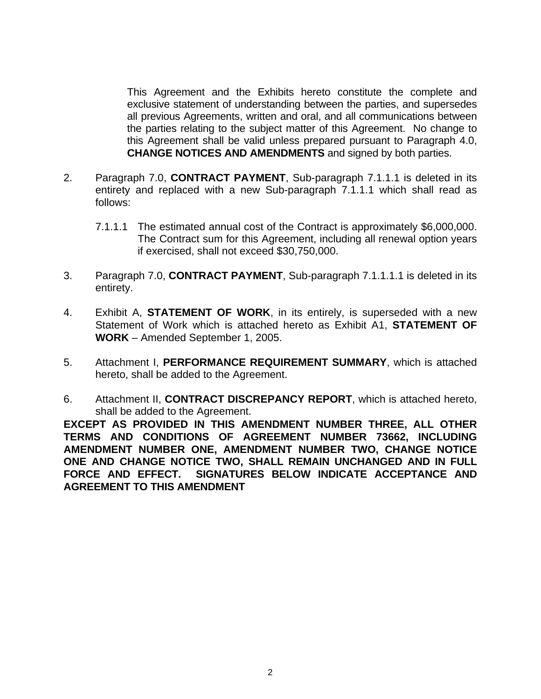This Agreement and the Exhibits hereto constitute the complete and exclusive statement of understanding between the parties, and supersedes all previous Agreements, written and oral, and all communications between the parties relating to the subject matter of this Agreement. No change to this Agreement shall be valid unless prepared pursuant to Paragraph 4.0, **CHANGE NOTICES AND AMENDMENTS** and signed by both parties.

- 2. Paragraph 7.0, **CONTRACT PAYMENT**, Sub-paragraph 7.1.1.1 is deleted in its entirety and replaced with a new Sub-paragraph 7.1.1.1 which shall read as follows:
	- 7.1.1.1 The estimated annual cost of the Contract is approximately \$6,000,000. The Contract sum for this Agreement, including all renewal option years if exercised, shall not exceed \$30,750,000.
- 3. Paragraph 7.0, **CONTRACT PAYMENT**, Sub-paragraph 7.1.1.1.1 is deleted in its entirety.
- 4. Exhibit A, **STATEMENT OF WORK**, in its entirely, is superseded with a new Statement of Work which is attached hereto as Exhibit A1, **STATEMENT OF WORK** – Amended September 1, 2005.
- 5. Attachment I, **PERFORMANCE REQUIREMENT SUMMARY**, which is attached hereto, shall be added to the Agreement.
- 6. Attachment II, **CONTRACT DISCREPANCY REPORT**, which is attached hereto, shall be added to the Agreement.

**[E](mailto:)XCEPT AS PROVIDED IN THIS AMENDMENT NUMBER THREE, ALL OTHER TERMS AND CONDITIONS OF AGREEMENT NUMBER 73662, INCLUDING AMENDMENT NUMBER ONE, AMENDMENT NUMBER TWO, CHANGE NOTICE ONE AND CHANGE NOTICE TWO, SHALL REMAIN UNCHANGED AND IN FULL FORCE AND EFFECT. SIGNATURES BELOW INDICATE ACCEPTANCE AND AGREEMENT TO THIS AMENDMENT**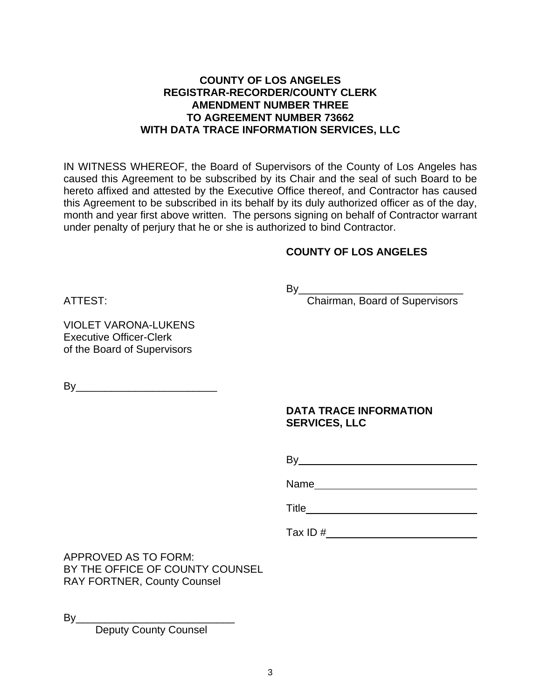### **COUNTY OF LOS ANGELES REGISTRAR-RECORDER/COUNTY CLERK AMENDMENT NUMBER THREE TO AGREEMENT NUMBER 73662 WITH DATA TRACE INFORMATION SERVICES, LLC**

IN WITNESS WHEREOF, the Board of Supervisors of the County of Los Angeles has caused this Agreement to be subscribed by its Chair and the seal of such Board to be hereto affixed and attested by the Executive Office thereof, and Contractor has caused this Agreement to be subscribed in its behalf by its duly authorized officer as of the day, month and year first above written. The persons signing on behalf of Contractor warrant under penalty of perjury that he or she is authorized to bind Contractor.

### **COUNTY OF LOS ANGELES**

By\_\_\_\_\_\_\_\_\_\_\_\_\_\_\_\_\_\_\_\_\_\_\_\_\_\_\_\_

ATTEST: Chairman, Board of Supervisors

VIOLET VARONA-LUKENS Executive Officer-Clerk of the Board of Supervisors

By\_\_\_\_\_\_\_\_\_\_\_\_\_\_\_\_\_\_\_\_\_\_\_\_

### **DATA TRACE INFORMATION SERVICES, LLC**

and the contract of the contract of the By

Name and the state of the state of the state of the state of the state of the state of the state of the state of the state of the state of the state of the state of the state of the state of the state of the state of the s

the contract of the contract of the contract of the contract of the contract of the contract of the contract o

Tax ID #

APPROVED AS TO FORM: BY THE OFFICE OF COUNTY COUNSEL RAY FORTNER, County Counsel

By\_\_\_\_\_\_\_\_\_\_\_\_\_\_\_\_\_\_\_\_\_\_\_\_\_\_\_

Deputy County Counsel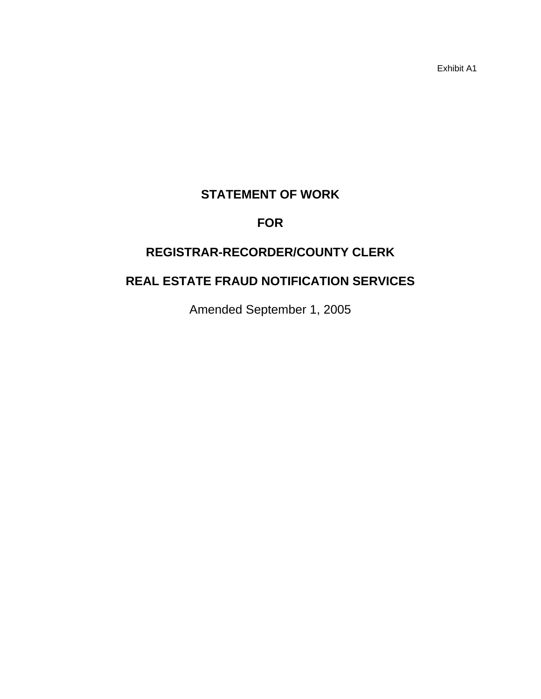Exhibit A1

# **STATEMENT OF WORK**

# **FOR**

# **REGISTRAR-RECORDER/COUNTY CLERK**

# **REAL ESTATE FRAUD NOTIFICATION SERVICES**

Amended September 1, 2005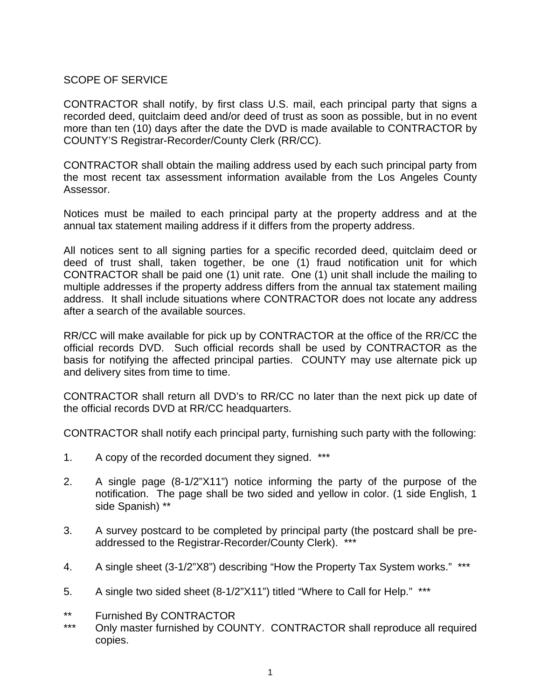### SCOPE OF SERVICE

CONTRACTOR shall notify, by first class U.S. mail, each principal party that signs a recorded deed, quitclaim deed and/or deed of trust as soon as possible, but in no event more than ten (10) days after the date the DVD is made available to CONTRACTOR by COUNTY'S Registrar-Recorder/County Clerk (RR/CC).

CONTRACTOR shall obtain the mailing address used by each such principal party from the most recent tax assessment information available from the Los Angeles County Assessor.

Notices must be mailed to each principal party at the property address and at the annual tax statement mailing address if it differs from the property address.

All notices sent to all signing parties for a specific recorded deed, quitclaim deed or deed of trust shall, taken together, be one (1) fraud notification unit for which CONTRACTOR shall be paid one (1) unit rate. One (1) unit shall include the mailing to multiple addresses if the property address differs from the annual tax statement mailing address. It shall include situations where CONTRACTOR does not locate any address after a search of the available sources.

RR/CC will make available for pick up by CONTRACTOR at the office of the RR/CC the official records DVD. Such official records shall be used by CONTRACTOR as the basis for notifying the affected principal parties. COUNTY may use alternate pick up and delivery sites from time to time.

CONTRACTOR shall return all DVD's to RR/CC no later than the next pick up date of the official records DVD at RR/CC headquarters.

CONTRACTOR shall notify each principal party, furnishing such party with the following:

- 1. A copy of the recorded document they signed. \*\*\*
- 2. A single page (8-1/2"X11") notice informing the party of the purpose of the notification. The page shall be two sided and yellow in color. (1 side English, 1 side Spanish) \*\*
- 3. A survey postcard to be completed by principal party (the postcard shall be preaddressed to the Registrar-Recorder/County Clerk). \*\*\*
- 4. A single sheet (3-1/2"X8") describing "How the Property Tax System works." \*\*\*
- 5. A single two sided sheet (8-1/2"X11") titled "Where to Call for Help." \*\*\*
- \*\* Furnished By CONTRACTOR<br>\*\*\* Only meeter furnished by COL
- Only master furnished by COUNTY. CONTRACTOR shall reproduce all required copies.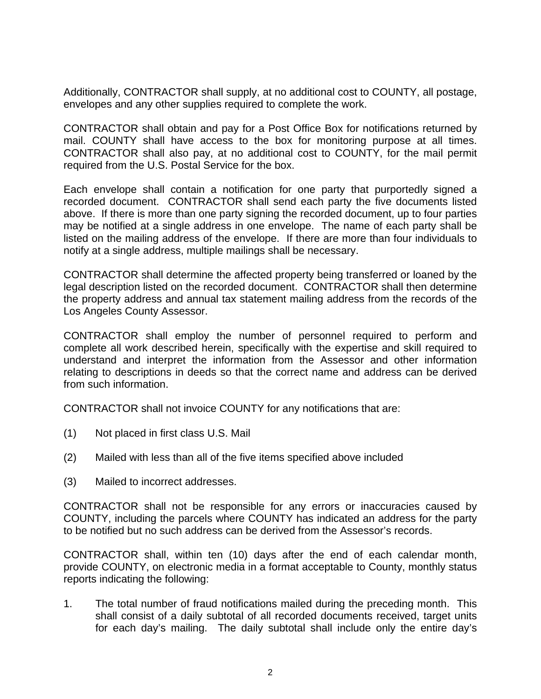Additionally, CONTRACTOR shall supply, at no additional cost to COUNTY, all postage, envelopes and any other supplies required to complete the work.

CONTRACTOR shall obtain and pay for a Post Office Box for notifications returned by mail. COUNTY shall have access to the box for monitoring purpose at all times. CONTRACTOR shall also pay, at no additional cost to COUNTY, for the mail permit required from the U.S. Postal Service for the box.

Each envelope shall contain a notification for one party that purportedly signed a recorded document. CONTRACTOR shall send each party the five documents listed above. If there is more than one party signing the recorded document, up to four parties may be notified at a single address in one envelope. The name of each party shall be listed on the mailing address of the envelope. If there are more than four individuals to notify at a single address, multiple mailings shall be necessary.

CONTRACTOR shall determine the affected property being transferred or loaned by the legal description listed on the recorded document. CONTRACTOR shall then determine the property address and annual tax statement mailing address from the records of the Los Angeles County Assessor.

CONTRACTOR shall employ the number of personnel required to perform and complete all work described herein, specifically with the expertise and skill required to understand and interpret the information from the Assessor and other information relating to descriptions in deeds so that the correct name and address can be derived from such information.

CONTRACTOR shall not invoice COUNTY for any notifications that are:

- (1) Not placed in first class U.S. Mail
- (2) Mailed with less than all of the five items specified above included
- (3) Mailed to incorrect addresses.

CONTRACTOR shall not be responsible for any errors or inaccuracies caused by COUNTY, including the parcels where COUNTY has indicated an address for the party to be notified but no such address can be derived from the Assessor's records.

CONTRACTOR shall, within ten (10) days after the end of each calendar month, provide COUNTY, on electronic media in a format acceptable to County, monthly status reports indicating the following:

1. The total number of fraud notifications mailed during the preceding month. This shall consist of a daily subtotal of all recorded documents received, target units for each day's mailing. The daily subtotal shall include only the entire day's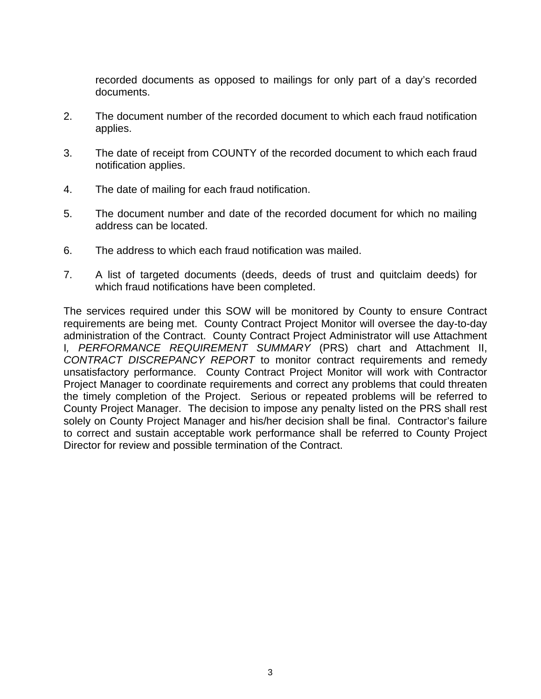recorded documents as opposed to mailings for only part of a day's recorded documents.

- 2. The document number of the recorded document to which each fraud notification applies.
- 3. The date of receipt from COUNTY of the recorded document to which each fraud notification applies.
- 4. The date of mailing for each fraud notification.
- 5. The document number and date of the recorded document for which no mailing address can be located.
- 6. The address to which each fraud notification was mailed.
- 7. A list of targeted documents (deeds, deeds of trust and quitclaim deeds) for which fraud notifications have been completed.

The services required under this SOW will be monitored by County to ensure Contract requirements are being met. County Contract Project Monitor will oversee the day-to-day administration of the Contract. County Contract Project Administrator will use Attachment I*, PERFORMANCE REQUIREMENT SUMMARY* (PRS) chart and Attachment II, *CONTRACT DISCREPANCY REPORT* to monitor contract requirements and remedy unsatisfactory performance. County Contract Project Monitor will work with Contractor Project Manager to coordinate requirements and correct any problems that could threaten the timely completion of the Project. Serious or repeated problems will be referred to County Project Manager. The decision to impose any penalty listed on the PRS shall rest solely on County Project Manager and his/her decision shall be final. Contractor's failure to correct and sustain acceptable work performance shall be referred to County Project Director for review and possible termination of the Contract.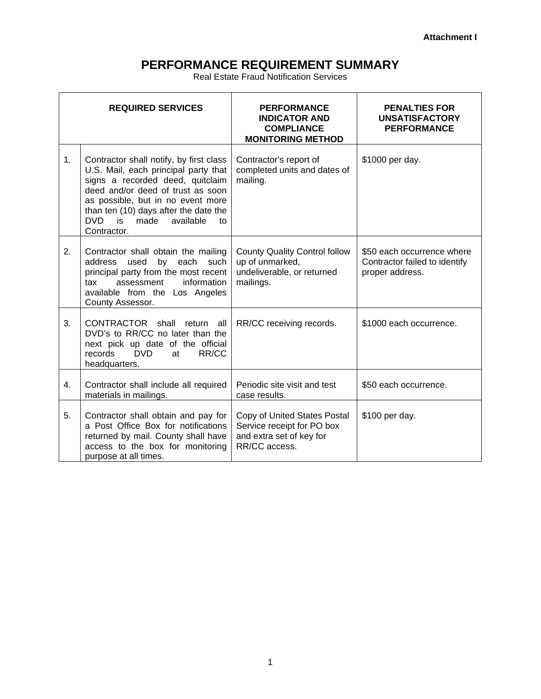# **PERFORMANCE REQUIREMENT SUMMARY**

Real Estate Fraud Notification Services

| <b>REQUIRED SERVICES</b> |                                                                                                                                                                                                                                                                                            | <b>PERFORMANCE</b><br><b>INDICATOR AND</b><br><b>COMPLIANCE</b><br><b>MONITORING METHOD</b>             | <b>PENALTIES FOR</b><br><b>UNSATISFACTORY</b><br><b>PERFORMANCE</b>            |
|--------------------------|--------------------------------------------------------------------------------------------------------------------------------------------------------------------------------------------------------------------------------------------------------------------------------------------|---------------------------------------------------------------------------------------------------------|--------------------------------------------------------------------------------|
| 1 <sub>1</sub>           | Contractor shall notify, by first class<br>U.S. Mail, each principal party that<br>signs a recorded deed, quitclaim<br>deed and/or deed of trust as soon<br>as possible, but in no event more<br>than ten (10) days after the date the<br>DVD is<br>made<br>available<br>tΩ<br>Contractor. | Contractor's report of<br>completed units and dates of<br>mailing.                                      | \$1000 per day.                                                                |
| 2.                       | Contractor shall obtain the mailing<br>used<br>by each<br>address<br>such<br>principal party from the most recent<br>assessment<br>information<br>tax<br>available from the Los Angeles<br>County Assessor.                                                                                | <b>County Quality Control follow</b><br>up of unmarked,<br>undeliverable, or returned<br>mailings.      | \$50 each occurrence where<br>Contractor failed to identify<br>proper address. |
| 3.                       | CONTRACTOR shall<br>return<br>all<br>DVD's to RR/CC no later than the<br>next pick up date of the official<br><b>DVD</b><br>records<br>RR/CC<br>at<br>headquarters.                                                                                                                        | RR/CC receiving records.                                                                                | \$1000 each occurrence.                                                        |
| 4.                       | Contractor shall include all required<br>materials in mailings.                                                                                                                                                                                                                            | Periodic site visit and test<br>case results.                                                           | \$50 each occurrence.                                                          |
| 5.                       | Contractor shall obtain and pay for<br>a Post Office Box for notifications<br>returned by mail. County shall have<br>access to the box for monitoring<br>purpose at all times.                                                                                                             | Copy of United States Postal<br>Service receipt for PO box<br>and extra set of key for<br>RR/CC access. | \$100 per day.                                                                 |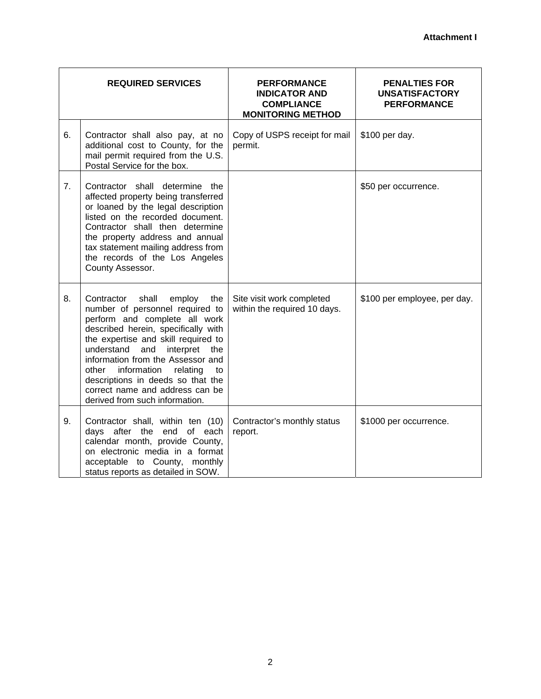| <b>REQUIRED SERVICES</b> |                                                                                                                                                                                                                                                                                                                                                                                                                 | <b>PERFORMANCE</b><br><b>INDICATOR AND</b><br><b>COMPLIANCE</b><br><b>MONITORING METHOD</b> | <b>PENALTIES FOR</b><br><b>UNSATISFACTORY</b><br><b>PERFORMANCE</b> |
|--------------------------|-----------------------------------------------------------------------------------------------------------------------------------------------------------------------------------------------------------------------------------------------------------------------------------------------------------------------------------------------------------------------------------------------------------------|---------------------------------------------------------------------------------------------|---------------------------------------------------------------------|
| 6.                       | Contractor shall also pay, at no<br>additional cost to County, for the<br>mail permit required from the U.S.<br>Postal Service for the box.                                                                                                                                                                                                                                                                     | Copy of USPS receipt for mail<br>permit.                                                    | \$100 per day.                                                      |
| 7 <sub>1</sub>           | Contractor shall determine the<br>affected property being transferred<br>or loaned by the legal description<br>listed on the recorded document.<br>Contractor shall then determine<br>the property address and annual<br>tax statement mailing address from<br>the records of the Los Angeles<br>County Assessor.                                                                                               |                                                                                             | \$50 per occurrence.                                                |
| 8.                       | shall<br>Contractor<br>employ<br>the<br>number of personnel required to<br>perform and complete all work<br>described herein, specifically with<br>the expertise and skill required to<br>understand and interpret<br>the<br>information from the Assessor and<br>other information<br>relating<br>to<br>descriptions in deeds so that the<br>correct name and address can be<br>derived from such information. | Site visit work completed<br>within the required 10 days.                                   | \$100 per employee, per day.                                        |
| 9.                       | Contractor shall, within ten (10)<br>days after the end of each<br>calendar month, provide County,<br>on electronic media in a format<br>acceptable to County, monthly<br>status reports as detailed in SOW.                                                                                                                                                                                                    | Contractor's monthly status<br>report.                                                      | \$1000 per occurrence.                                              |